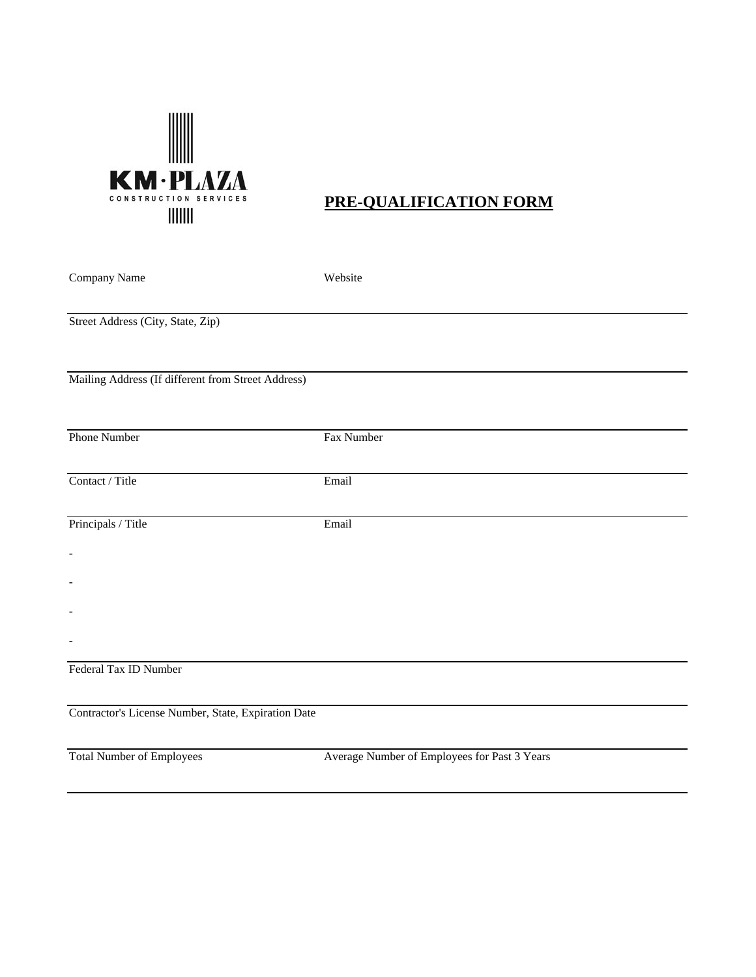

# **PRE-QUALIFICATION FORM**

| Company Name                                        | Website                                      |
|-----------------------------------------------------|----------------------------------------------|
| Street Address (City, State, Zip)                   |                                              |
| Mailing Address (If different from Street Address)  |                                              |
| Phone Number                                        | Fax Number                                   |
| Contact / Title                                     | Email                                        |
| Principals / Title                                  | Email                                        |
| $\overline{\phantom{0}}$                            |                                              |
| $\overline{\phantom{0}}$                            |                                              |
| $\overline{\phantom{0}}$                            |                                              |
| $\frac{1}{2}$                                       |                                              |
| Federal Tax ID Number                               |                                              |
| Contractor's License Number, State, Expiration Date |                                              |
| <b>Total Number of Employees</b>                    | Average Number of Employees for Past 3 Years |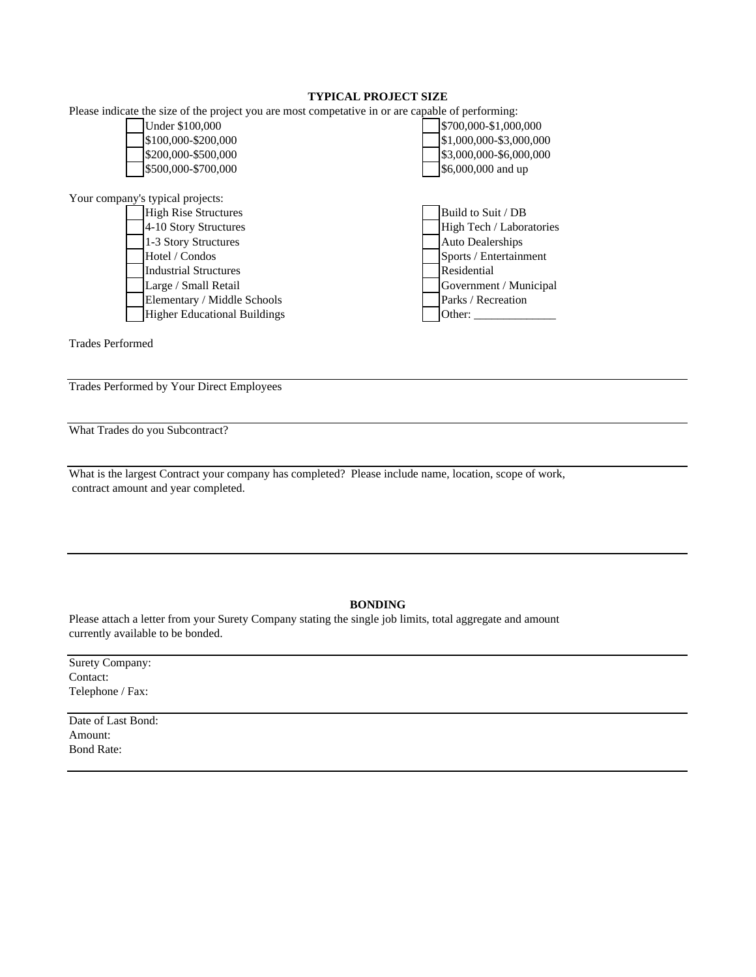## **TYPICAL PROJECT SIZE**

|                                  | Please indicate the size of the project you are most competative in or are capable of performing: |                          |
|----------------------------------|---------------------------------------------------------------------------------------------------|--------------------------|
|                                  | Under \$100,000                                                                                   | \$700,000-\$1,000,000    |
|                                  | \$100,000-\$200,000                                                                               | \$1,000,000-\$3,000,000  |
|                                  | \$200,000-\$500,000                                                                               | \$3,000,000-\$6,000,000  |
|                                  | \$500,000-\$700,000                                                                               | \$6,000,000 and up       |
|                                  |                                                                                                   |                          |
| Your company's typical projects: |                                                                                                   |                          |
|                                  | <b>High Rise Structures</b>                                                                       | Build to Suit / DB       |
|                                  | 4-10 Story Structures                                                                             | High Tech / Laboratories |
|                                  | 1-3 Story Structures                                                                              | <b>Auto Dealerships</b>  |
|                                  | Hotel / Condos                                                                                    | Sports / Entertainment   |
|                                  | <b>Industrial Structures</b>                                                                      | Residential              |
|                                  | Large / Small Retail                                                                              | Government / Municipal   |
|                                  | Elementary / Middle Schools                                                                       | Parks / Recreation       |
|                                  | <b>Higher Educational Buildings</b>                                                               | Other:                   |

Trades Performed

Trades Performed by Your Direct Employees

What Trades do you Subcontract?

What is the largest Contract your company has completed? Please include name, location, scope of work, contract amount and year completed.

## **BONDING**

Please attach a letter from your Surety Company stating the single job limits, total aggregate and amount currently available to be bonded.

| Surety Company:  |
|------------------|
| Contact:         |
| Telephone / Fax: |

Date of Last Bond: Amount: Bond Rate: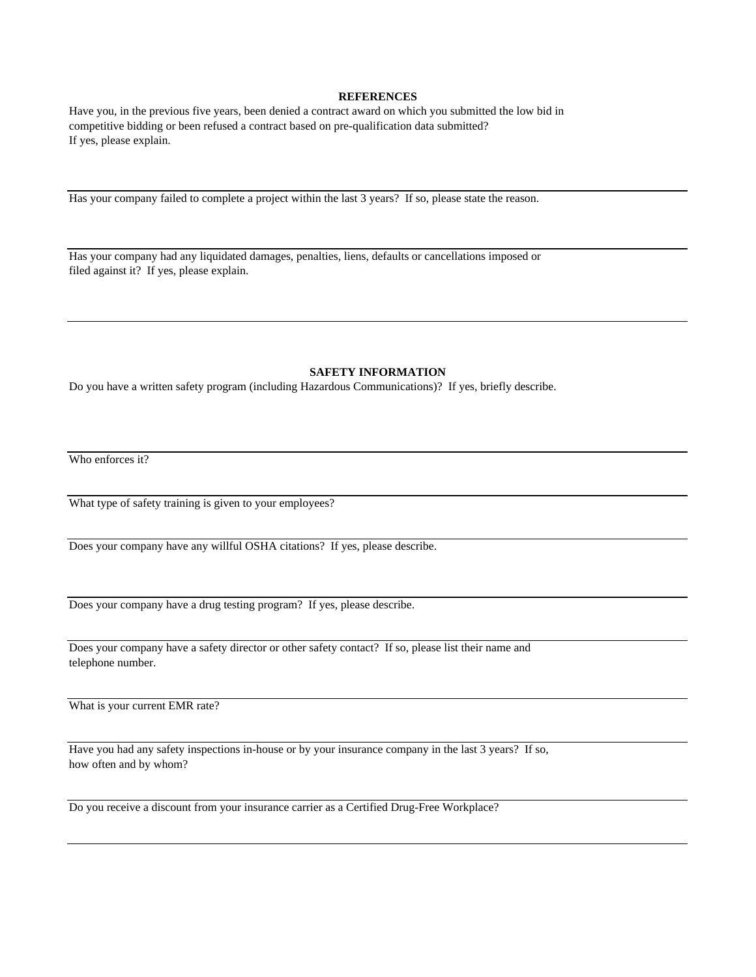### **REFERENCES**

Have you, in the previous five years, been denied a contract award on which you submitted the low bid in competitive bidding or been refused a contract based on pre-qualification data submitted? If yes, please explain.

Has your company failed to complete a project within the last 3 years? If so, please state the reason.

Has your company had any liquidated damages, penalties, liens, defaults or cancellations imposed or filed against it? If yes, please explain.

#### **SAFETY INFORMATION**

Do you have a written safety program (including Hazardous Communications)? If yes, briefly describe.

Who enforces it?

What type of safety training is given to your employees?

Does your company have any willful OSHA citations? If yes, please describe.

Does your company have a drug testing program? If yes, please describe.

Does your company have a safety director or other safety contact? If so, please list their name and telephone number.

What is your current EMR rate?

Have you had any safety inspections in-house or by your insurance company in the last 3 years? If so, how often and by whom?

Do you receive a discount from your insurance carrier as a Certified Drug-Free Workplace?